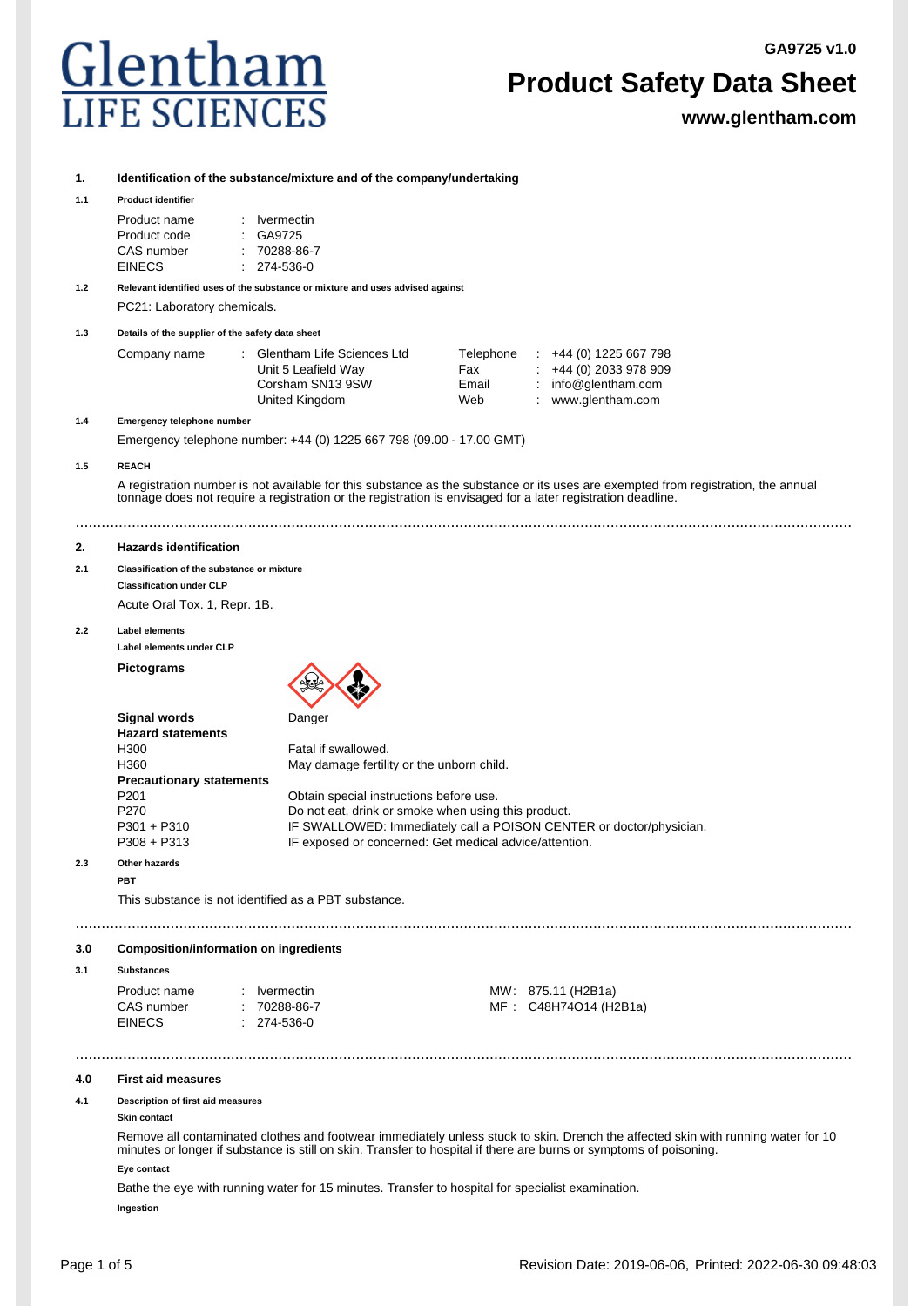**GA9725 v1.0**



# **Product Safety Data Sheet**

**www.glentham.com**

#### **1. Identification of the substance/mixture and of the company/undertaking**

#### **1.1 Product identifier**

| Product name | $:$ Ivermectin     |
|--------------|--------------------|
| Product code | : GA9725           |
| CAS number   | $: 70288 - 86 - 7$ |
| EINECS       | $274-536-0$        |

**1.2 Relevant identified uses of the substance or mixture and uses advised against** PC21: Laboratory chemicals.

**1.3 Details of the supplier of the safety data sheet**

| Glentham Life Sciences Ltd | Telephone | $\div$ +44 (0) 1225 667 798 |
|----------------------------|-----------|-----------------------------|
| Unit 5 Leafield Way        | Fax       | $\div$ +44 (0) 2033 978 909 |
| Corsham SN13 9SW           | Email     | : $info@$ glentham.com      |
| United Kingdom             | Web       | www.glentham.com            |
|                            |           |                             |

#### **1.4 Emergency telephone number**

Emergency telephone number: +44 (0) 1225 667 798 (09.00 - 17.00 GMT)

#### **1.5 REACH**

A registration number is not available for this substance as the substance or its uses are exempted from registration, the annual tonnage does not require a registration or the registration is envisaged for a later registration deadline.

....................................................................................................................................................................................

#### **2. Hazards identification**

#### **2.1 Classification of the substance or mixture Classification under CLP**

Acute Oral Tox. 1, Repr. 1B.

#### **2.2 Label elements**

**Label elements under CLP**

**Pictograms**



| <b>Hazard statements</b>        |                                                                     |
|---------------------------------|---------------------------------------------------------------------|
| H300                            | Fatal if swallowed.                                                 |
| H360                            | May damage fertility or the unborn child.                           |
| <b>Precautionary statements</b> |                                                                     |
| P201                            | Obtain special instructions before use.                             |
| P270                            | Do not eat, drink or smoke when using this product.                 |
| P301 + P310                     | IF SWALLOWED: Immediately call a POISON CENTER or doctor/physician. |
| P308 + P313                     | IF exposed or concerned: Get medical advice/attention.              |
|                                 |                                                                     |

....................................................................................................................................................................................

....................................................................................................................................................................................

#### **2.3 Other hazards PBT**

This substance is not identified as a PBT substance.

### **3.0 Composition/information on ingredients**

**3.1 Substances**

| Product name  | : Ivermectin  |
|---------------|---------------|
| CAS number    | $: 70288-86$  |
| <b>EINECS</b> | $: 274-536-0$ |

MW: 875.11 (H2B1a) 3-7 MF : C48H74O14 (H2B1a)

#### **4.0 First aid measures**

#### **4.1 Description of first aid measures**

**Skin contact**

Remove all contaminated clothes and footwear immediately unless stuck to skin. Drench the affected skin with running water for 10 minutes or longer if substance is still on skin. Transfer to hospital if there are burns or symptoms of poisoning. **Eye contact**

Bathe the eye with running water for 15 minutes. Transfer to hospital for specialist examination. **Ingestion**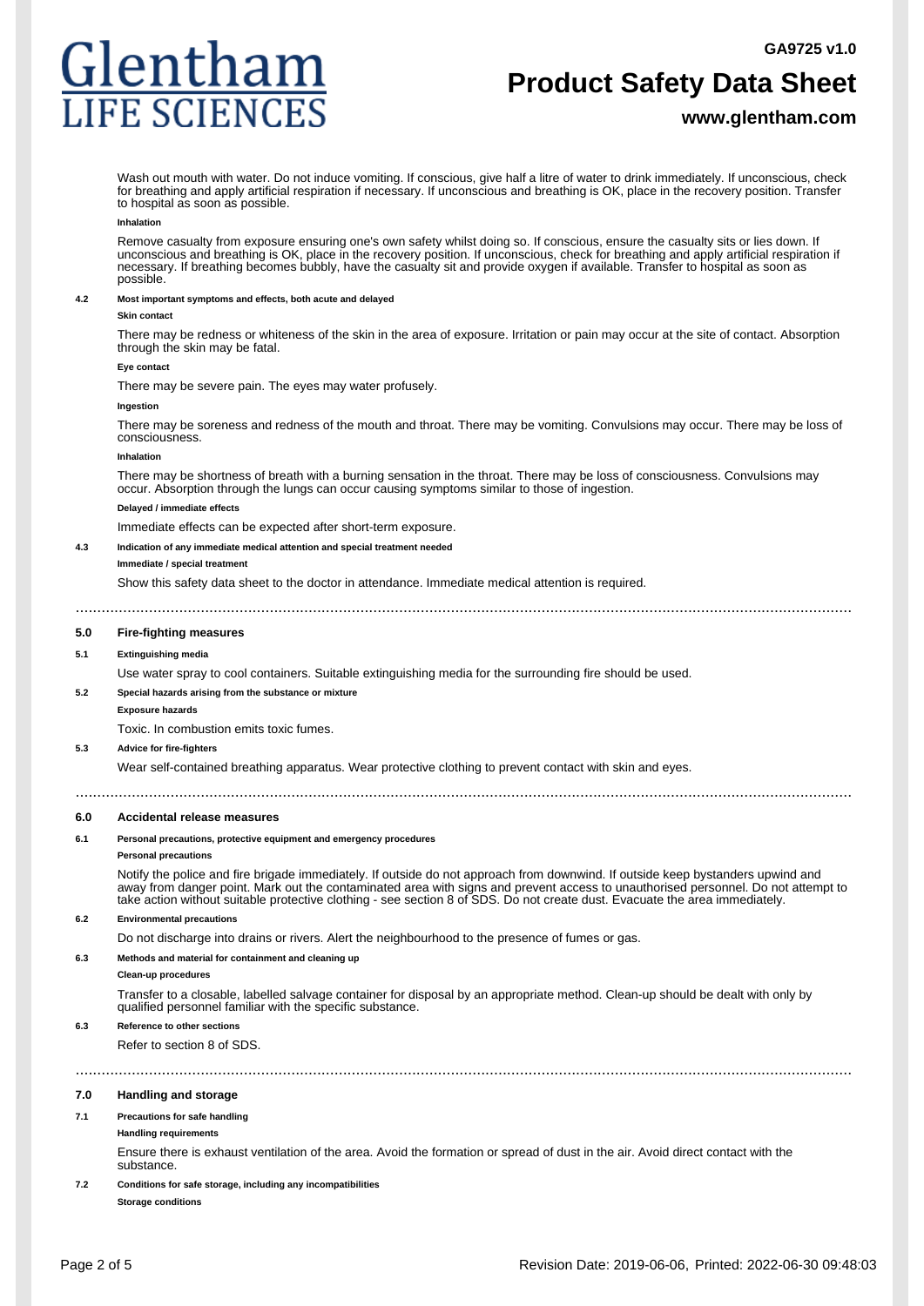# Glentham **IFE SCIENC**

# **Product Safety Data Sheet**

### **www.glentham.com**

Wash out mouth with water. Do not induce vomiting. If conscious, give half a litre of water to drink immediately. If unconscious, check for breathing and apply artificial respiration if necessary. If unconscious and breathing is OK, place in the recovery position. Transfer to hospital as soon as possible.

#### **Inhalation**

Remove casualty from exposure ensuring one's own safety whilst doing so. If conscious, ensure the casualty sits or lies down. If unconscious and breathing is OK, place in the recovery position. If unconscious, check for breathing and apply artificial respiration if necessary. If breathing becomes bubbly, have the casualty sit and provide oxygen if available. Transfer to hospital as soon as possible.

#### **4.2 Most important symptoms and effects, both acute and delayed**

#### **Skin contact**

There may be redness or whiteness of the skin in the area of exposure. Irritation or pain may occur at the site of contact. Absorption through the skin may be fatal.

#### **Eye contact**

There may be severe pain. The eyes may water profusely.

#### **Ingestion**

There may be soreness and redness of the mouth and throat. There may be vomiting. Convulsions may occur. There may be loss of consciousness.

#### **Inhalation**

There may be shortness of breath with a burning sensation in the throat. There may be loss of consciousness. Convulsions may occur. Absorption through the lungs can occur causing symptoms similar to those of ingestion.

#### **Delayed / immediate effects**

Immediate effects can be expected after short-term exposure.

**4.3 Indication of any immediate medical attention and special treatment needed**

#### **Immediate / special treatment**

Show this safety data sheet to the doctor in attendance. Immediate medical attention is required.

....................................................................................................................................................................................

#### **5.0 Fire-fighting measures**

#### **5.1 Extinguishing media**

Use water spray to cool containers. Suitable extinguishing media for the surrounding fire should be used.

#### **5.2 Special hazards arising from the substance or mixture**

**Exposure hazards**

Toxic. In combustion emits toxic fumes.

#### **5.3 Advice for fire-fighters**

Wear self-contained breathing apparatus. Wear protective clothing to prevent contact with skin and eyes.

### **6.0 Accidental release measures**

#### **6.1 Personal precautions, protective equipment and emergency procedures**

**Personal precautions**

Notify the police and fire brigade immediately. If outside do not approach from downwind. If outside keep bystanders upwind and away from danger point. Mark out the contaminated area with signs and prevent access to unauthorised personnel. Do not attempt to take action without suitable protective clothing - see section 8 of SDS. Do not create dust. Evacuate the area immediately.

....................................................................................................................................................................................

#### **6.2 Environmental precautions**

Do not discharge into drains or rivers. Alert the neighbourhood to the presence of fumes or gas.

....................................................................................................................................................................................

#### **6.3 Methods and material for containment and cleaning up**

**Clean-up procedures**

Transfer to a closable, labelled salvage container for disposal by an appropriate method. Clean-up should be dealt with only by qualified personnel familiar with the specific substance.

#### **6.3 Reference to other sections**

Refer to section 8 of SDS.

## **7.0 Handling and storage**

#### **7.1 Precautions for safe handling**

### **Handling requirements**

Ensure there is exhaust ventilation of the area. Avoid the formation or spread of dust in the air. Avoid direct contact with the substance.

### **7.2 Conditions for safe storage, including any incompatibilities**

**Storage conditions**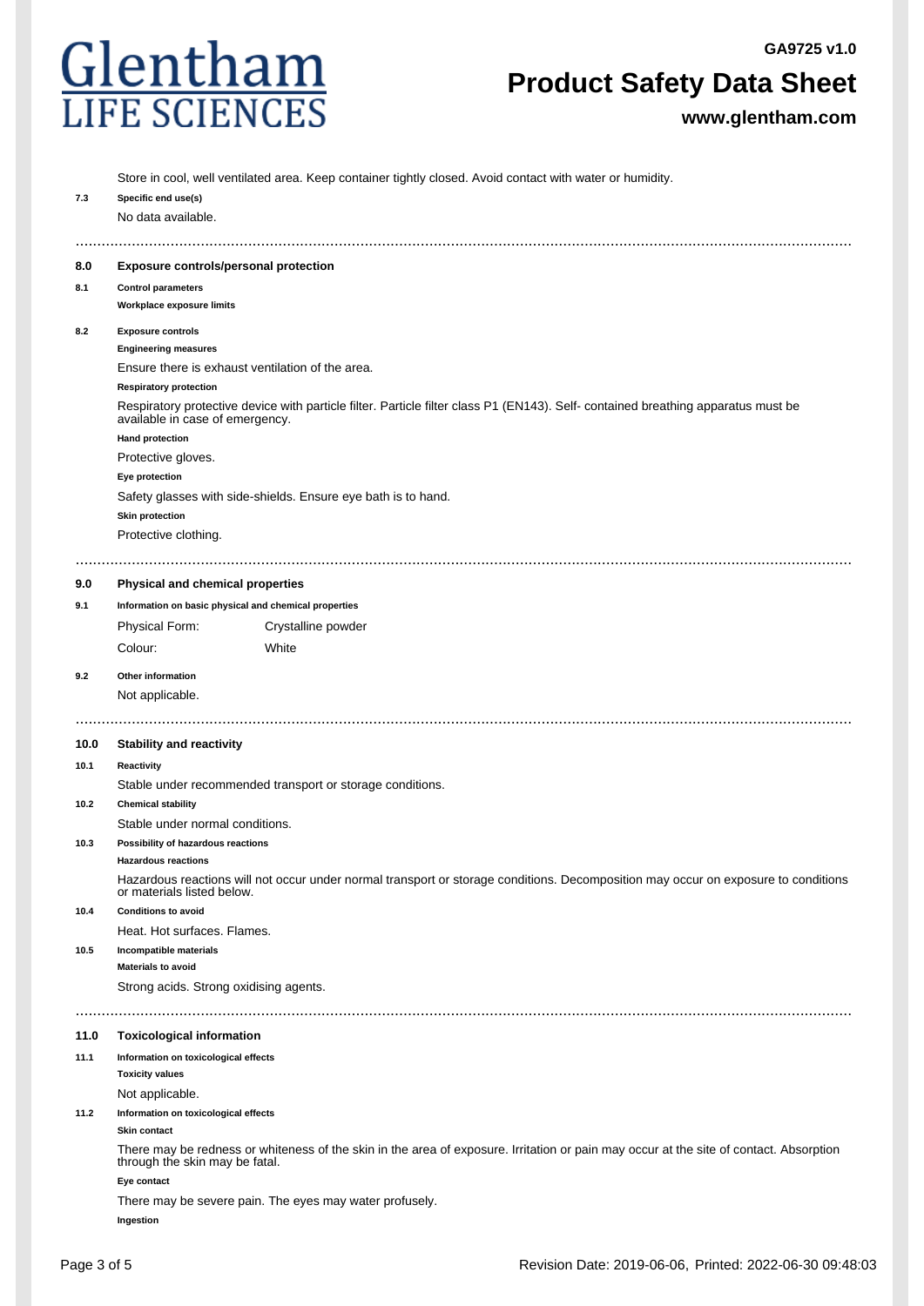

# **Product Safety Data Sheet**

**www.glentham.com**

|      | Store in cool, well ventilated area. Keep container tightly closed. Avoid contact with water or humidity.                                                            |  |  |  |  |
|------|----------------------------------------------------------------------------------------------------------------------------------------------------------------------|--|--|--|--|
| 7.3  | Specific end use(s)                                                                                                                                                  |  |  |  |  |
|      | No data available.                                                                                                                                                   |  |  |  |  |
|      |                                                                                                                                                                      |  |  |  |  |
|      |                                                                                                                                                                      |  |  |  |  |
| 8.0  | <b>Exposure controls/personal protection</b>                                                                                                                         |  |  |  |  |
| 8.1  | <b>Control parameters</b>                                                                                                                                            |  |  |  |  |
|      | Workplace exposure limits                                                                                                                                            |  |  |  |  |
| 8.2  | <b>Exposure controls</b>                                                                                                                                             |  |  |  |  |
|      | <b>Engineering measures</b>                                                                                                                                          |  |  |  |  |
|      | Ensure there is exhaust ventilation of the area.                                                                                                                     |  |  |  |  |
|      | <b>Respiratory protection</b>                                                                                                                                        |  |  |  |  |
|      | Respiratory protective device with particle filter. Particle filter class P1 (EN143). Self- contained breathing apparatus must be<br>available in case of emergency. |  |  |  |  |
|      | <b>Hand protection</b>                                                                                                                                               |  |  |  |  |
|      | Protective gloves.                                                                                                                                                   |  |  |  |  |
|      | Eye protection                                                                                                                                                       |  |  |  |  |
|      | Safety glasses with side-shields. Ensure eye bath is to hand.                                                                                                        |  |  |  |  |
|      | <b>Skin protection</b>                                                                                                                                               |  |  |  |  |
|      | Protective clothing.                                                                                                                                                 |  |  |  |  |
|      |                                                                                                                                                                      |  |  |  |  |
|      |                                                                                                                                                                      |  |  |  |  |
| 9.0  | Physical and chemical properties                                                                                                                                     |  |  |  |  |
| 9.1  | Information on basic physical and chemical properties                                                                                                                |  |  |  |  |
|      | Physical Form:<br>Crystalline powder                                                                                                                                 |  |  |  |  |
|      | Colour:<br>White                                                                                                                                                     |  |  |  |  |
| 9.2  | Other information                                                                                                                                                    |  |  |  |  |
|      | Not applicable.                                                                                                                                                      |  |  |  |  |
|      |                                                                                                                                                                      |  |  |  |  |
|      |                                                                                                                                                                      |  |  |  |  |
|      |                                                                                                                                                                      |  |  |  |  |
| 10.0 | <b>Stability and reactivity</b>                                                                                                                                      |  |  |  |  |
| 10.1 | Reactivity                                                                                                                                                           |  |  |  |  |
|      | Stable under recommended transport or storage conditions.                                                                                                            |  |  |  |  |
| 10.2 | <b>Chemical stability</b>                                                                                                                                            |  |  |  |  |
|      | Stable under normal conditions.                                                                                                                                      |  |  |  |  |
| 10.3 | Possibility of hazardous reactions                                                                                                                                   |  |  |  |  |
|      | <b>Hazardous reactions</b>                                                                                                                                           |  |  |  |  |
|      | Hazardous reactions will not occur under normal transport or storage conditions. Decomposition may occur on exposure to conditions                                   |  |  |  |  |
|      | or materials listed below.                                                                                                                                           |  |  |  |  |
| 10.4 | <b>Conditions to avoid</b>                                                                                                                                           |  |  |  |  |
|      | Heat. Hot surfaces. Flames.                                                                                                                                          |  |  |  |  |
| 10.5 | Incompatible materials<br><b>Materials to avoid</b>                                                                                                                  |  |  |  |  |
|      |                                                                                                                                                                      |  |  |  |  |
|      | Strong acids. Strong oxidising agents.                                                                                                                               |  |  |  |  |
|      |                                                                                                                                                                      |  |  |  |  |
| 11.0 | <b>Toxicological information</b>                                                                                                                                     |  |  |  |  |
| 11.1 | Information on toxicological effects                                                                                                                                 |  |  |  |  |
|      | <b>Toxicity values</b>                                                                                                                                               |  |  |  |  |
|      | Not applicable.                                                                                                                                                      |  |  |  |  |
| 11.2 | Information on toxicological effects                                                                                                                                 |  |  |  |  |
|      | Skin contact                                                                                                                                                         |  |  |  |  |
|      | There may be redness or whiteness of the skin in the area of exposure. Irritation or pain may occur at the site of contact. Absorption                               |  |  |  |  |
|      | through the skin may be fatal.                                                                                                                                       |  |  |  |  |
|      | Eye contact<br>There may be severe pain. The eyes may water profusely.                                                                                               |  |  |  |  |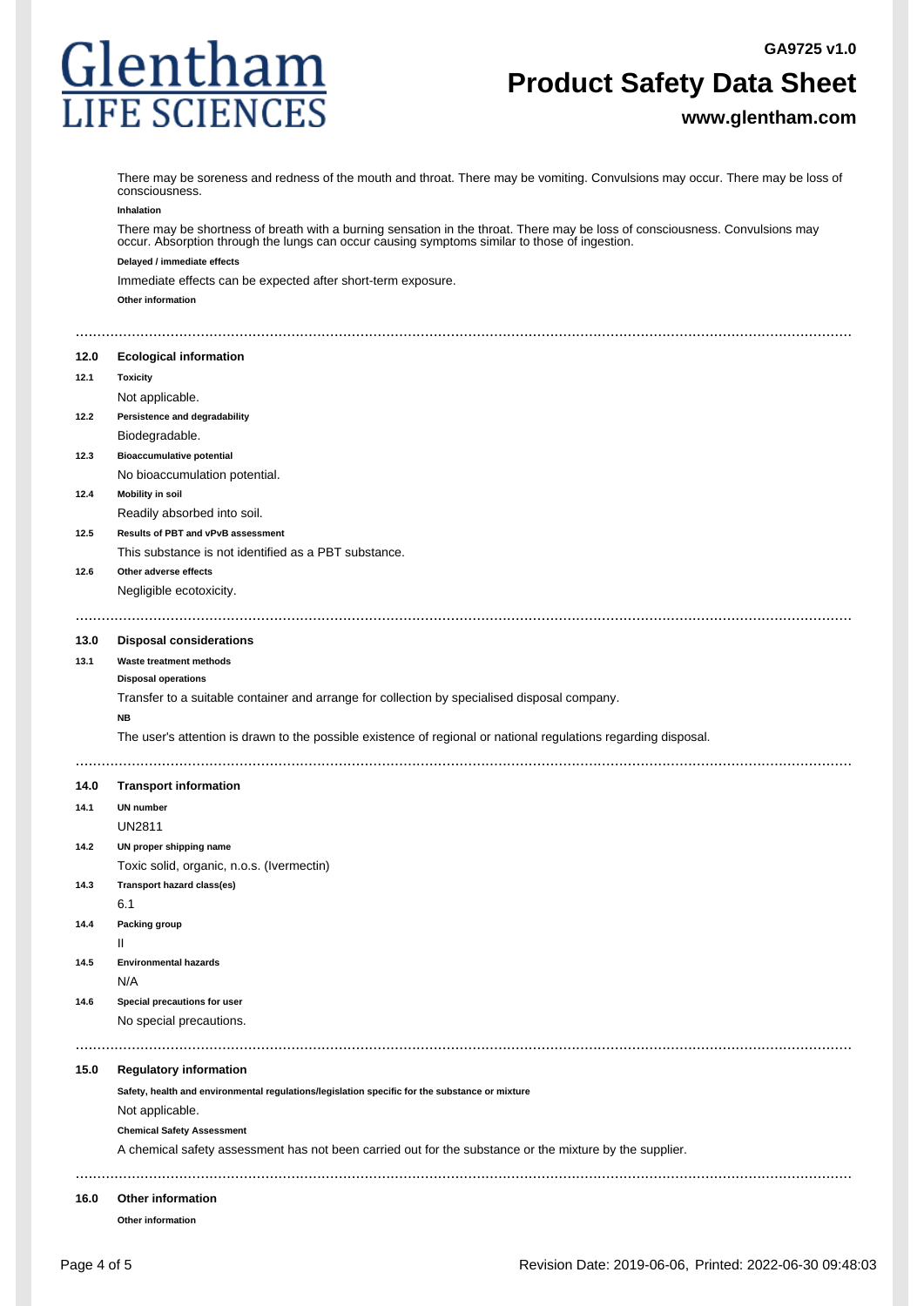

# **Product Safety Data Sheet**

**www.glentham.com**

|      | There may be soreness and redness of the mouth and throat. There may be vomiting. Convulsions may occur. There may be loss of<br>consciousness.                                                                               |
|------|-------------------------------------------------------------------------------------------------------------------------------------------------------------------------------------------------------------------------------|
|      | Inhalation                                                                                                                                                                                                                    |
|      | There may be shortness of breath with a burning sensation in the throat. There may be loss of consciousness. Convulsions may<br>occur. Absorption through the lungs can occur causing symptoms similar to those of ingestion. |
|      | Delayed / immediate effects                                                                                                                                                                                                   |
|      | Immediate effects can be expected after short-term exposure.                                                                                                                                                                  |
|      | Other information                                                                                                                                                                                                             |
|      |                                                                                                                                                                                                                               |
| 12.0 | <b>Ecological information</b>                                                                                                                                                                                                 |
| 12.1 | <b>Toxicity</b>                                                                                                                                                                                                               |
|      | Not applicable.                                                                                                                                                                                                               |
| 12.2 | Persistence and degradability                                                                                                                                                                                                 |
|      | Biodegradable.                                                                                                                                                                                                                |
| 12.3 | <b>Bioaccumulative potential</b>                                                                                                                                                                                              |
|      | No bioaccumulation potential.                                                                                                                                                                                                 |
| 12.4 | <b>Mobility in soil</b>                                                                                                                                                                                                       |
|      | Readily absorbed into soil.                                                                                                                                                                                                   |
| 12.5 | Results of PBT and vPvB assessment                                                                                                                                                                                            |
|      | This substance is not identified as a PBT substance.                                                                                                                                                                          |
| 12.6 | Other adverse effects                                                                                                                                                                                                         |
|      | Negligible ecotoxicity.                                                                                                                                                                                                       |
|      |                                                                                                                                                                                                                               |
| 13.0 | <b>Disposal considerations</b>                                                                                                                                                                                                |
| 13.1 | Waste treatment methods                                                                                                                                                                                                       |
|      | <b>Disposal operations</b>                                                                                                                                                                                                    |
|      | Transfer to a suitable container and arrange for collection by specialised disposal company.                                                                                                                                  |
|      | <b>NB</b>                                                                                                                                                                                                                     |
|      | The user's attention is drawn to the possible existence of regional or national regulations regarding disposal.                                                                                                               |
|      |                                                                                                                                                                                                                               |
| 14.0 | <b>Transport information</b>                                                                                                                                                                                                  |
| 14.1 | <b>UN number</b>                                                                                                                                                                                                              |
|      | <b>UN2811</b>                                                                                                                                                                                                                 |
| 14.2 | UN proper shipping name                                                                                                                                                                                                       |
|      | Toxic solid, organic, n.o.s. (Ivermectin)                                                                                                                                                                                     |
| 14.3 | Transport hazard class(es)                                                                                                                                                                                                    |
|      | 6.1                                                                                                                                                                                                                           |
| 14.4 | Packing group                                                                                                                                                                                                                 |
|      | Ш                                                                                                                                                                                                                             |
| 14.5 | <b>Environmental hazards</b>                                                                                                                                                                                                  |
|      | N/A                                                                                                                                                                                                                           |
| 14.6 | Special precautions for user                                                                                                                                                                                                  |
|      | No special precautions.                                                                                                                                                                                                       |
|      |                                                                                                                                                                                                                               |
| 15.0 | <b>Regulatory information</b>                                                                                                                                                                                                 |
|      | Safety, health and environmental regulations/legislation specific for the substance or mixture                                                                                                                                |
|      | Not applicable.                                                                                                                                                                                                               |
|      | <b>Chemical Safety Assessment</b>                                                                                                                                                                                             |
|      | A chemical safety assessment has not been carried out for the substance or the mixture by the supplier.                                                                                                                       |
|      |                                                                                                                                                                                                                               |
|      |                                                                                                                                                                                                                               |
| 16.0 | Other information                                                                                                                                                                                                             |
|      | Other information                                                                                                                                                                                                             |